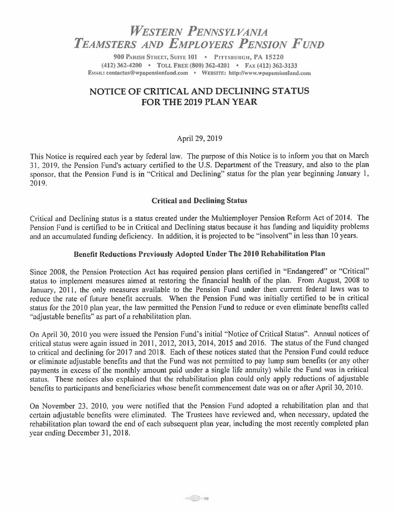# *WESTERN PENNSYLVANIA TEAMSTERS AND EMPLOYERS PENSION FUND*

**900 PARISH STREET, SUITE 101 • PITTSBURGH, PA 15220 (412) 362-4200** • **TOLL FREE (800) 362-4201** • **FAX (412) 362-3133 EMAIL: contactus@wpapension£und.com** • **WEBSITE: hltp://www.wpupensionfund.com** 

## **NOTICE OF CRITICAL AND DECLINING STATUS FOR THE 2019 PLAN YEAR**

#### April 29, 2019

This Notice is required each year by federal law. The purpose of this Notice is to inform you that on March 31. 2019. the Pension Fund's actuary certified to the U.S. Department of the Treasury, and also to the plan sponsor. that the Pension Fund is in "Critical and Declining" status for the plan year beginning January 1, 2019.

#### **Critical and Declining Status**

Critical and Declining status is a status created under the Multiemployer Pension Reform Act of 2014. The Pension Fund is certified to be in Critical and Declining status because it has funding and liquidity problems and an accumulated funding deficiency. In addition, it is projected to be "insolvent" in less than 10 years.

#### **Benefit Reductions Previously Adopted Under The 2010 Rehabilitation Plan**

Since 2008, the Pension Protection Act has required pension plans certified in "Endangered" or "Critical" status to implement measures aimed at restoring the financial health of the plan. From August, 2008 to January, 2011, the only measures available to the Pension Fund under then current federal laws was to reduce the rate of future benefit accruals. When the Pension Fund was initially certified to be in critical status for the 2010 plan year, the law permitted the Pension Fund to reduce or even eliminate benefits called "adjustable benefits" as part of a rehabilitation plan.

On April 30, 2010 you were issued the Pension Fund's initial "Notice of Critical Status". Annual notices of critical status were again issued in 2011, 2012, 2013, 2014, 2015 and 2016. The status of the Fund changed to critical and declining for 2017 and 2018. Each of these notices stated that the Pension Fund could reduce or eliminate adjustable benefits and that the Fund was not permitted to pay lump sum benefits (or any other payments in excess of the monthly amount paid under a single life annuity) while the Fund was in critical status. These notices also explained that the rehabilitation plan could only apply reductions of adjustable benefits to participants and beneficiaries whose benefit commencement date was on or after April 30, 2010.

On November 23, 2010, you were notified that the Pension Fund adopted a rehabilitation plan and that certain adjustable benefits were eliminated. The Trustees have reviewed and, when necessary, updated the rehabilitation plan toward the end of each subsequent plan year, including the most recently completed plan year ending December 31, 2018.